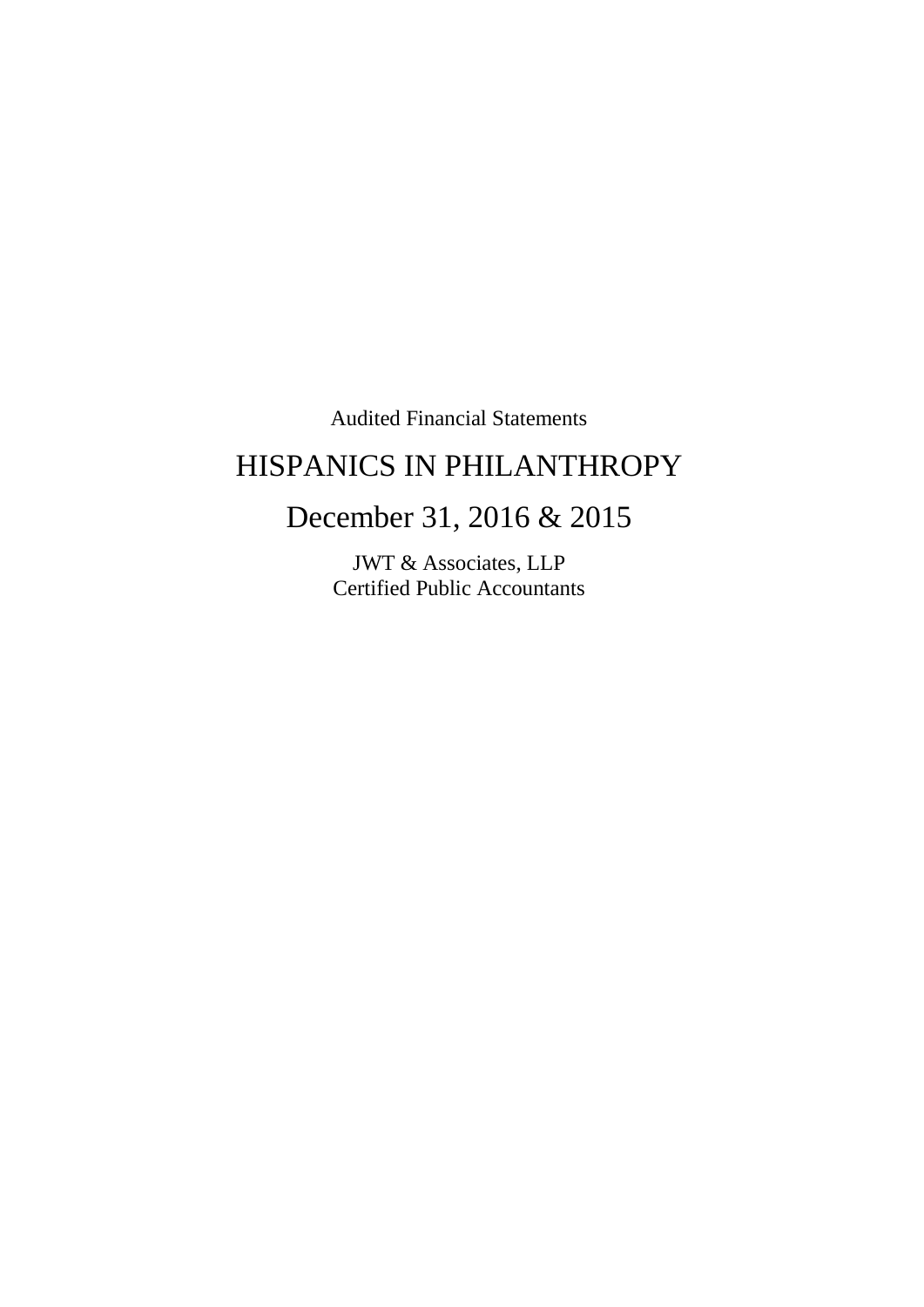Audited Financial Statements

# HISPANICS IN PHILANTHROPY

# December 31, 2016 & 2015

JWT & Associates, LLP Certified Public Accountants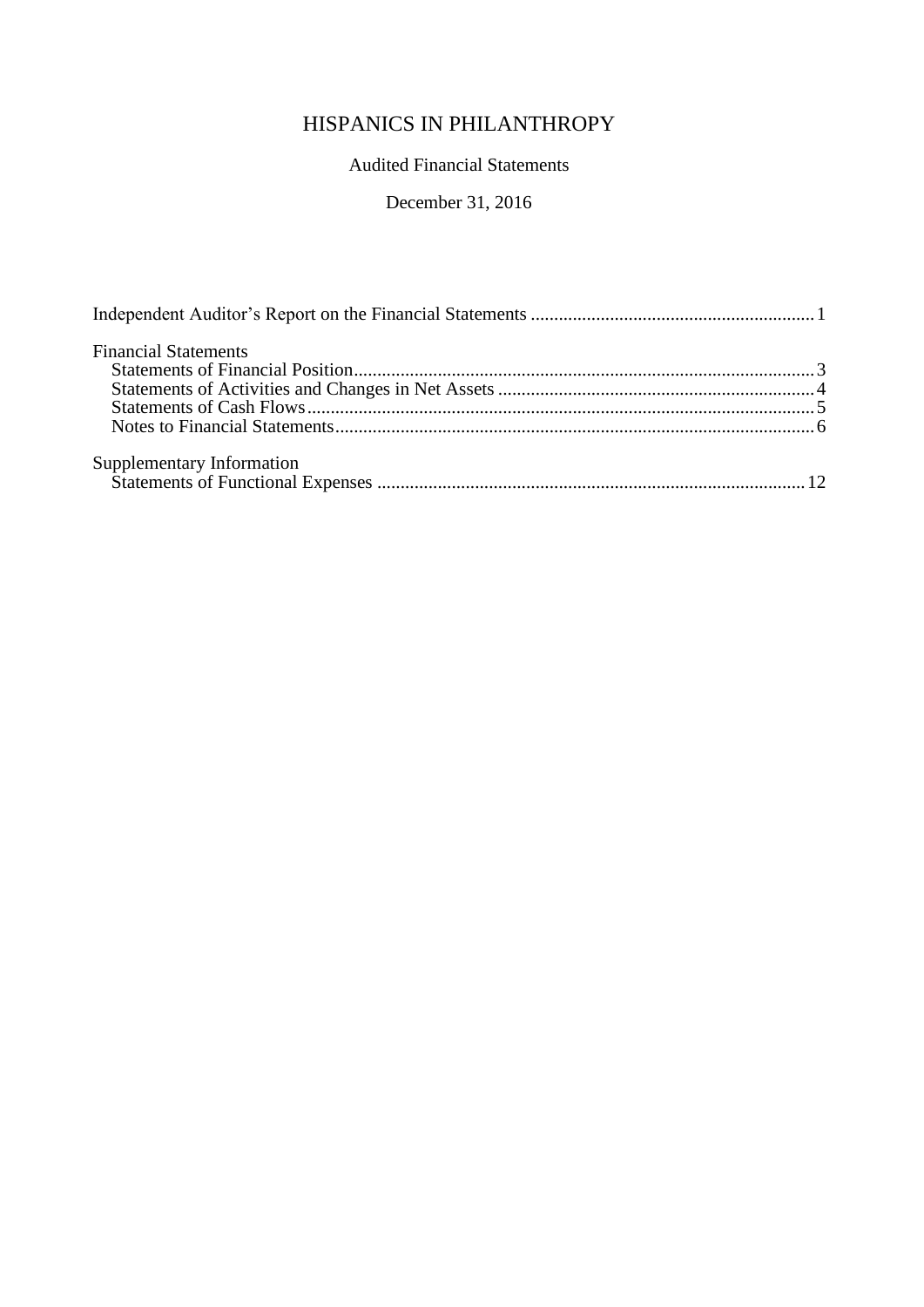# Audited Financial Statements

# December 31, 2016

| <b>Financial Statements</b> |  |
|-----------------------------|--|
|                             |  |
|                             |  |
|                             |  |
|                             |  |
|                             |  |
|                             |  |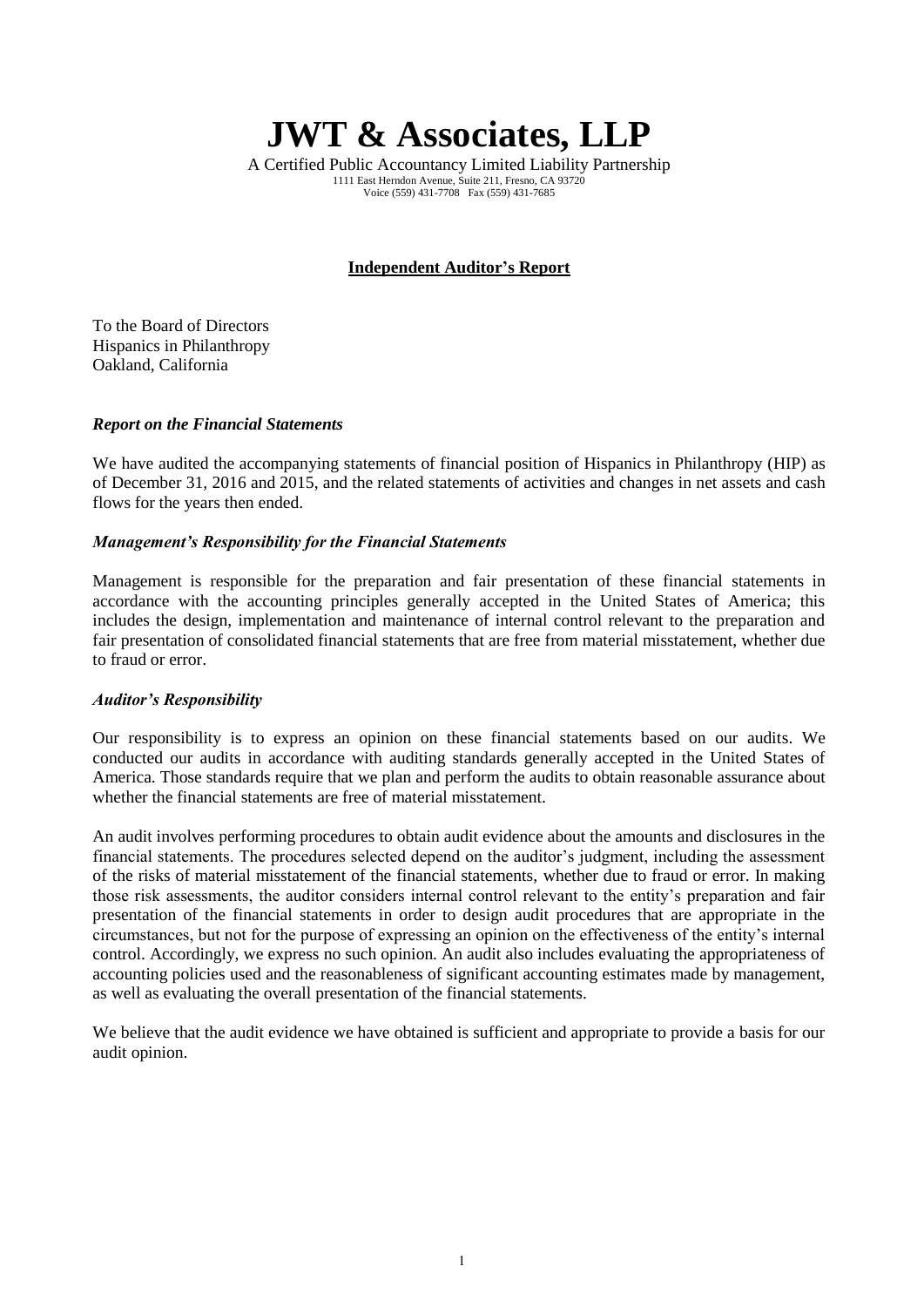**JWT & Associates, LLP**

A Certified Public Accountancy Limited Liability Partnership 1111 East Herndon Avenue, Suite 211, Fresno, CA 93720 Voice (559) 431-7708 Fax (559) 431-7685

#### **Independent Auditor's Report**

To the Board of Directors Hispanics in Philanthropy Oakland, California

#### *Report on the Financial Statements*

We have audited the accompanying statements of financial position of Hispanics in Philanthropy (HIP) as of December 31, 2016 and 2015, and the related statements of activities and changes in net assets and cash flows for the years then ended.

#### *Management's Responsibility for the Financial Statements*

Management is responsible for the preparation and fair presentation of these financial statements in accordance with the accounting principles generally accepted in the United States of America; this includes the design, implementation and maintenance of internal control relevant to the preparation and fair presentation of consolidated financial statements that are free from material misstatement, whether due to fraud or error.

#### *Auditor's Responsibility*

Our responsibility is to express an opinion on these financial statements based on our audits. We conducted our audits in accordance with auditing standards generally accepted in the United States of America. Those standards require that we plan and perform the audits to obtain reasonable assurance about whether the financial statements are free of material misstatement.

An audit involves performing procedures to obtain audit evidence about the amounts and disclosures in the financial statements. The procedures selected depend on the auditor's judgment, including the assessment of the risks of material misstatement of the financial statements, whether due to fraud or error. In making those risk assessments, the auditor considers internal control relevant to the entity's preparation and fair presentation of the financial statements in order to design audit procedures that are appropriate in the circumstances, but not for the purpose of expressing an opinion on the effectiveness of the entity's internal control. Accordingly, we express no such opinion. An audit also includes evaluating the appropriateness of accounting policies used and the reasonableness of significant accounting estimates made by management, as well as evaluating the overall presentation of the financial statements.

We believe that the audit evidence we have obtained is sufficient and appropriate to provide a basis for our audit opinion.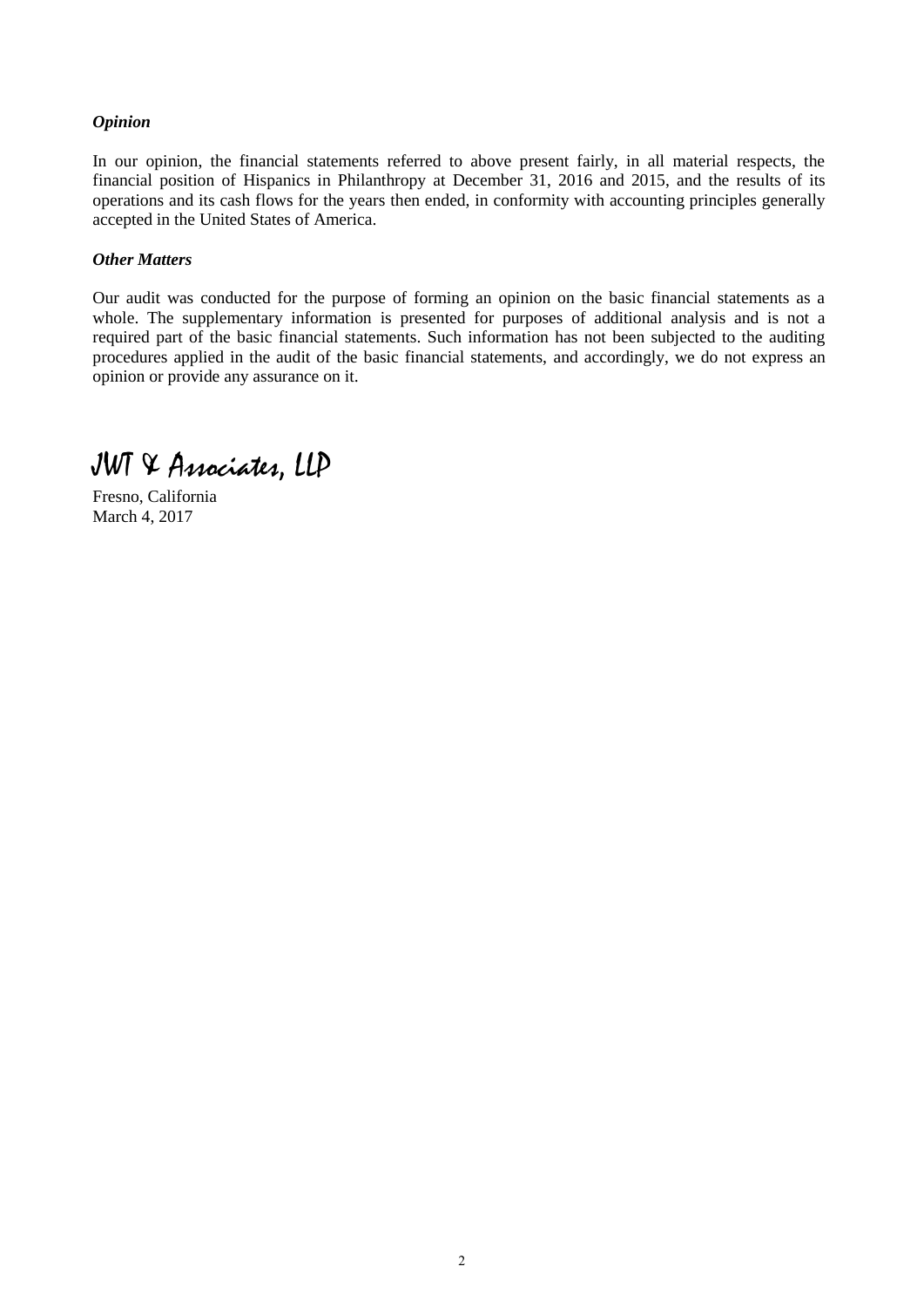#### *Opinion*

In our opinion, the financial statements referred to above present fairly, in all material respects, the financial position of Hispanics in Philanthropy at December 31, 2016 and 2015, and the results of its operations and its cash flows for the years then ended, in conformity with accounting principles generally accepted in the United States of America.

#### *Other Matters*

Our audit was conducted for the purpose of forming an opinion on the basic financial statements as a whole. The supplementary information is presented for purposes of additional analysis and is not a required part of the basic financial statements. Such information has not been subjected to the auditing procedures applied in the audit of the basic financial statements, and accordingly, we do not express an opinion or provide any assurance on it.

JWT & Associates, LLP

Fresno, California March 4, 2017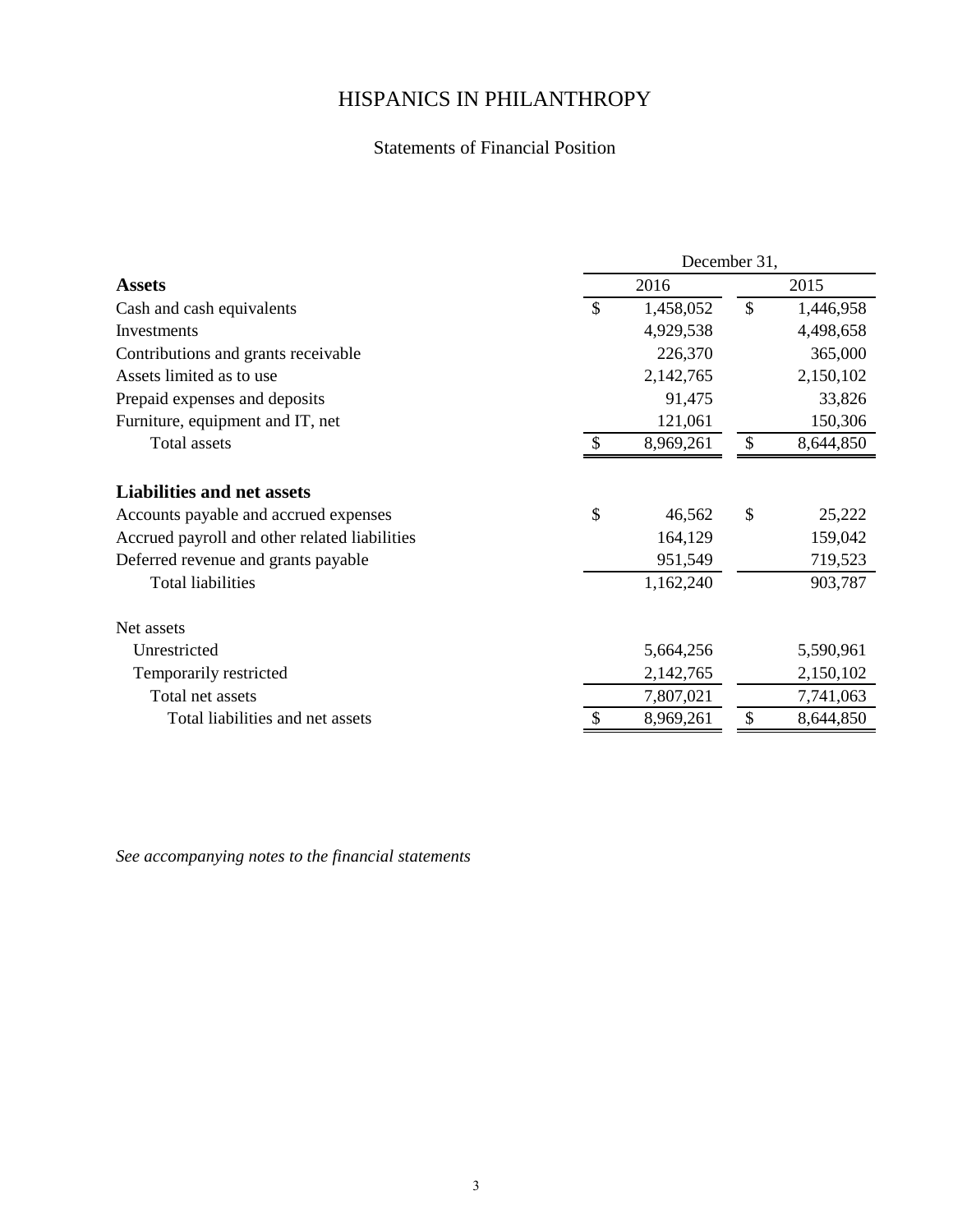## Statements of Financial Position

|                                               |               | December 31, |               |           |
|-----------------------------------------------|---------------|--------------|---------------|-----------|
| <b>Assets</b>                                 |               | 2016         |               | 2015      |
| Cash and cash equivalents                     | $\mathcal{S}$ | 1,458,052    | $\mathcal{S}$ | 1,446,958 |
| Investments                                   |               | 4,929,538    |               | 4,498,658 |
| Contributions and grants receivable           |               | 226,370      |               | 365,000   |
| Assets limited as to use                      |               | 2,142,765    |               | 2,150,102 |
| Prepaid expenses and deposits                 |               | 91,475       |               | 33,826    |
| Furniture, equipment and IT, net              |               | 121,061      |               | 150,306   |
| Total assets                                  | <sup>\$</sup> | 8,969,261    | $\mathcal{S}$ | 8,644,850 |
| <b>Liabilities and net assets</b>             |               |              |               |           |
| Accounts payable and accrued expenses         | $\mathcal{S}$ | 46,562       | $\mathcal{S}$ | 25,222    |
| Accrued payroll and other related liabilities |               | 164,129      |               | 159,042   |
| Deferred revenue and grants payable           |               | 951,549      |               | 719,523   |
| <b>Total liabilities</b>                      |               | 1,162,240    |               | 903,787   |
| Net assets                                    |               |              |               |           |
| Unrestricted                                  |               | 5,664,256    |               | 5,590,961 |
| Temporarily restricted                        |               | 2,142,765    |               | 2,150,102 |
| Total net assets                              |               | 7,807,021    |               | 7,741,063 |
| Total liabilities and net assets              |               | 8,969,261    | S             | 8,644,850 |

*See accompanying notes to the financial statements*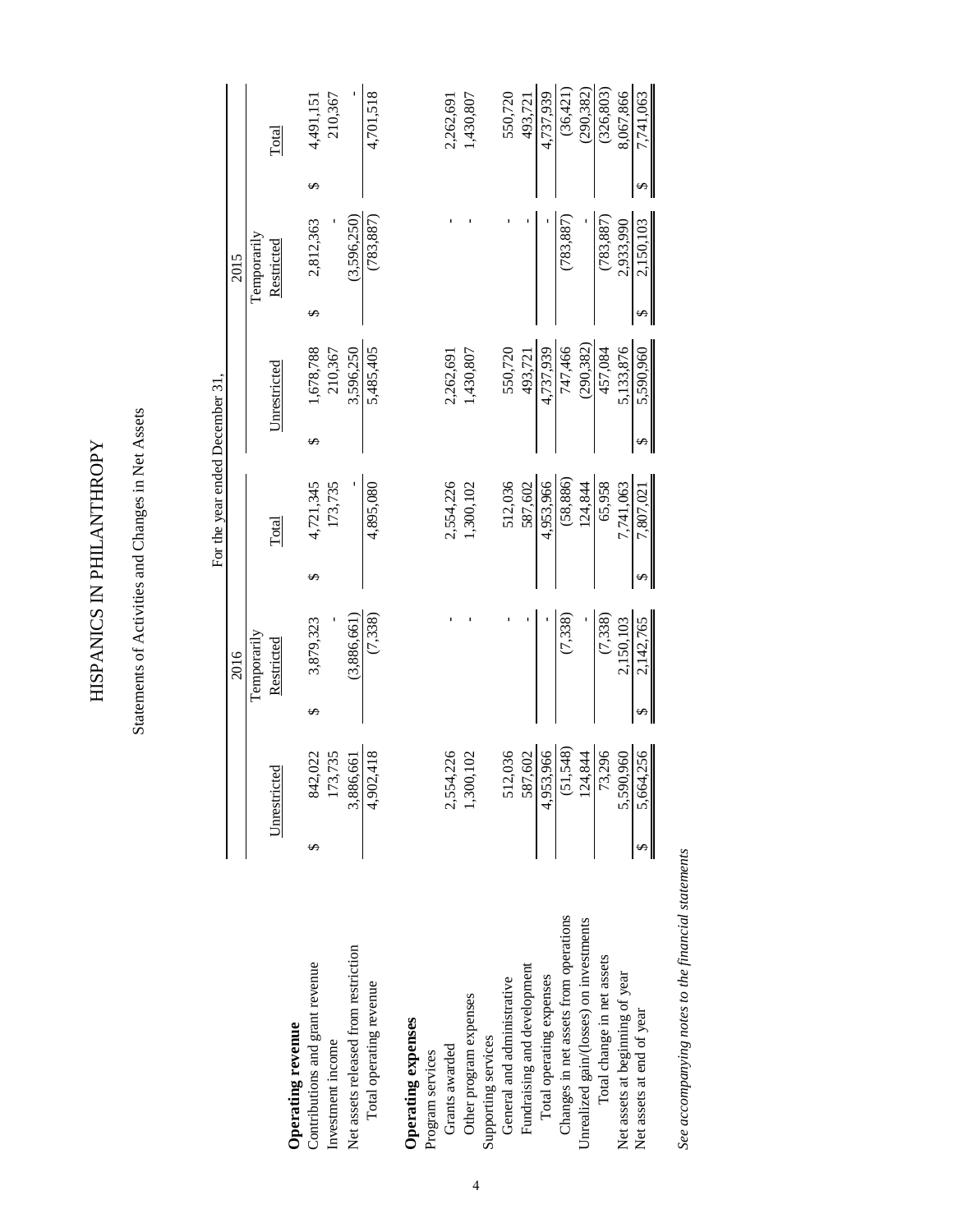HISPANICS IN PHILANTHROPY HISPANICS IN PHILANTHROPY

Statements of Activities and Changes in Net Assets Statements of Activities and Changes in Net Assets

|                                         |   |                            |             | For the year ended December 31, |              |   |             |   |            |
|-----------------------------------------|---|----------------------------|-------------|---------------------------------|--------------|---|-------------|---|------------|
|                                         |   |                            | 2016        |                                 |              |   | 2015        |   |            |
|                                         |   |                            | Temporarily |                                 |              |   | Temporarily |   |            |
|                                         |   | Unrestricted               | Restricted  | Total                           | Unrestricted |   | Restricted  |   | Total      |
| Operating revenue                       |   |                            |             |                                 |              |   |             |   |            |
| Contributions and grant revenue         | S | 842,022                    | 3,879,323   | 4,721,345                       | 1,678,788    | ∽ | 2,812,363   |   | 4,491,151  |
| Investment income                       |   | 3,735<br>173               |             | 173,735                         | 210,367      |   |             |   | 210,367    |
| Net assets released from restriction    |   | 3,886,661                  | (3,886,661) |                                 | 3,596,250    |   | (3,596,250) |   |            |
| Total operating revenue                 |   | .,418<br>4,902             | (7,338)     | 4,895,080                       | 5,485,405    |   | (783, 887)  |   | 4,701,518  |
| Operating expenses                      |   |                            |             |                                 |              |   |             |   |            |
| Program services                        |   |                            |             |                                 |              |   |             |   |            |
| Grants awarded                          |   | ,226<br>2,554              |             | 2,554,226                       | 2,262,691    |   |             |   | 2,262,691  |
| Other program expenses                  |   | 102<br>1,300               |             | 1,300,102                       | 1,430,807    |   |             |   | 1,430,807  |
| Supporting services                     |   |                            |             |                                 |              |   |             |   |            |
| General and administrative              |   | 512,036                    |             | 512,036                         | 550,720      |   |             |   | 550,720    |
| Fundraising and development             |   | ,602<br>587                |             | 587,602                         | 493,721      |   |             |   | 493,721    |
| Total operating expenses                |   | 4,953,966                  |             | 4,953,966                       | 4,737,939    |   |             |   | 4,737,939  |
| Changes in net assets from operations   |   | ,548)<br>$\overline{5}$    | (7,338)     | (58, 886)                       | 747,466      |   | (783, 887)  |   | (36, 421)  |
| Unrealized gain/(losses) on investments |   | $+844$<br>$\frac{124}{73}$ |             | 124,844                         | (290, 382)   |   |             |   | (290, 382) |
| Total change in net assets              |   | 3,296                      | (7,338)     | 65,958                          | 457,084      |   | (783, 887)  |   | (326, 803) |
| Net assets at beginning of year         |   | 0960<br>5,590              | 2,150,103   | 7,741,063                       | 5,133,876    |   | 2,933,990   |   | 8,067,866  |
| Net assets at end of year               |   | 1,256<br>5,664             | 2,142,765   | 7,807,021                       | 5,590,960    |   | 2,150,103   | ↮ | 7,741,063  |

See accompanying notes to the financial statements *See accompanying notes to the financial statements*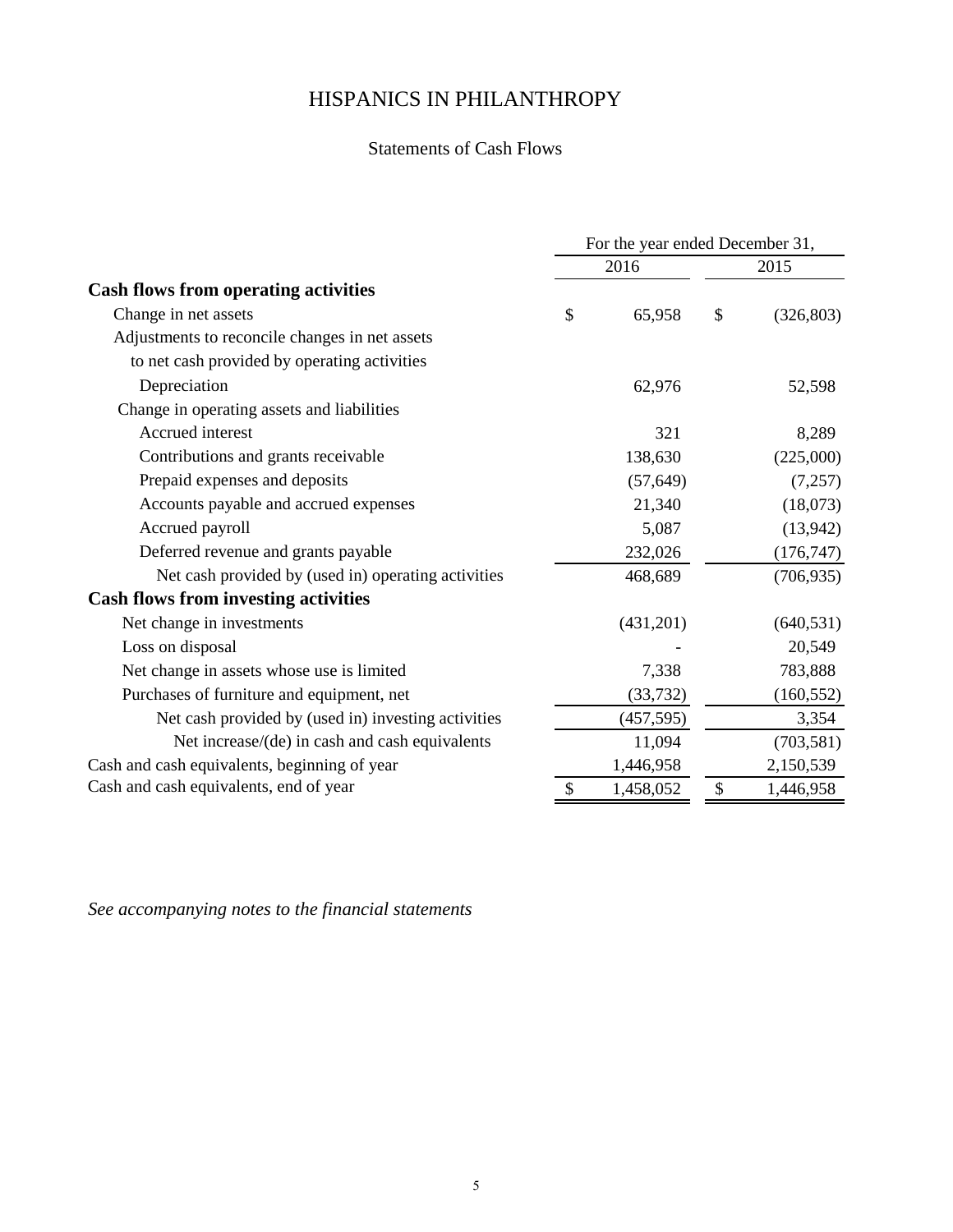# Statements of Cash Flows

|                                                     | For the year ended December 31, |                            |            |
|-----------------------------------------------------|---------------------------------|----------------------------|------------|
|                                                     | 2016                            |                            | 2015       |
| <b>Cash flows from operating activities</b>         |                                 |                            |            |
| Change in net assets                                | \$<br>65,958                    | \$                         | (326, 803) |
| Adjustments to reconcile changes in net assets      |                                 |                            |            |
| to net cash provided by operating activities        |                                 |                            |            |
| Depreciation                                        | 62,976                          |                            | 52,598     |
| Change in operating assets and liabilities          |                                 |                            |            |
| Accrued interest                                    | 321                             |                            | 8,289      |
| Contributions and grants receivable                 | 138,630                         |                            | (225,000)  |
| Prepaid expenses and deposits                       | (57, 649)                       |                            | (7,257)    |
| Accounts payable and accrued expenses               | 21,340                          |                            | (18,073)   |
| Accrued payroll                                     | 5,087                           |                            | (13,942)   |
| Deferred revenue and grants payable                 | 232,026                         |                            | (176, 747) |
| Net cash provided by (used in) operating activities | 468,689                         |                            | (706, 935) |
| <b>Cash flows from investing activities</b>         |                                 |                            |            |
| Net change in investments                           | (431,201)                       |                            | (640, 531) |
| Loss on disposal                                    |                                 |                            | 20,549     |
| Net change in assets whose use is limited           | 7,338                           |                            | 783,888    |
| Purchases of furniture and equipment, net           | (33, 732)                       |                            | (160, 552) |
| Net cash provided by (used in) investing activities | (457, 595)                      |                            | 3,354      |
| Net increase/(de) in cash and cash equivalents      | 11,094                          |                            | (703, 581) |
| Cash and cash equivalents, beginning of year        | 1,446,958                       |                            | 2,150,539  |
| Cash and cash equivalents, end of year              | \$<br>1,458,052                 | $\boldsymbol{\mathsf{\$}}$ | 1,446,958  |

*See accompanying notes to the financial statements*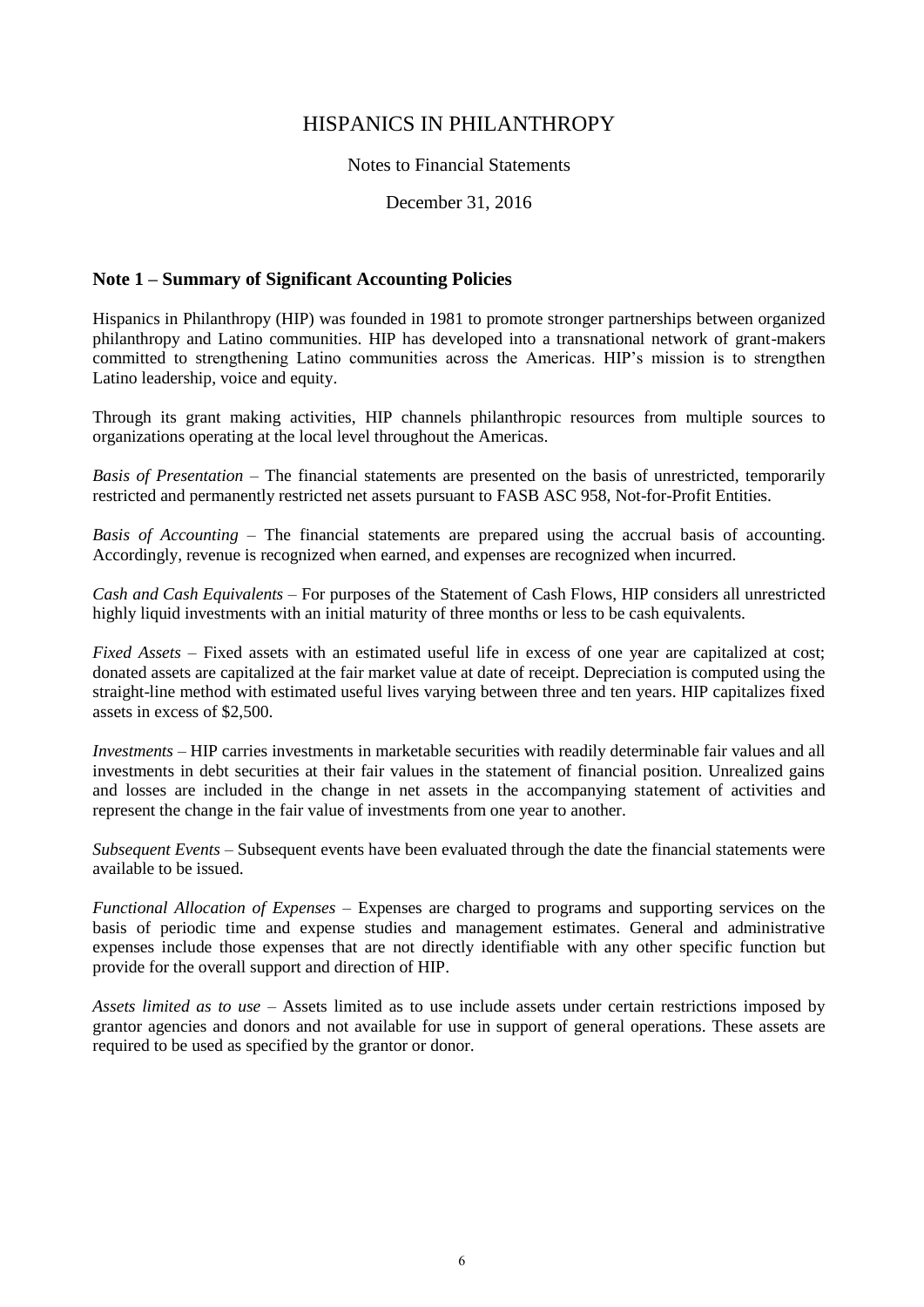#### Notes to Financial Statements

December 31, 2016

#### **Note 1 – Summary of Significant Accounting Policies**

Hispanics in Philanthropy (HIP) was founded in 1981 to promote stronger partnerships between organized philanthropy and Latino communities. HIP has developed into a transnational network of grant-makers committed to strengthening Latino communities across the Americas. HIP's mission is to strengthen Latino leadership, voice and equity.

Through its grant making activities, HIP channels philanthropic resources from multiple sources to organizations operating at the local level throughout the Americas.

*Basis of Presentation* – The financial statements are presented on the basis of unrestricted, temporarily restricted and permanently restricted net assets pursuant to FASB ASC 958, Not-for-Profit Entities.

*Basis of Accounting* – The financial statements are prepared using the accrual basis of accounting. Accordingly, revenue is recognized when earned, and expenses are recognized when incurred.

*Cash and Cash Equivalents* – For purposes of the Statement of Cash Flows, HIP considers all unrestricted highly liquid investments with an initial maturity of three months or less to be cash equivalents.

*Fixed Assets* – Fixed assets with an estimated useful life in excess of one year are capitalized at cost; donated assets are capitalized at the fair market value at date of receipt. Depreciation is computed using the straight-line method with estimated useful lives varying between three and ten years. HIP capitalizes fixed assets in excess of \$2,500.

*Investments* – HIP carries investments in marketable securities with readily determinable fair values and all investments in debt securities at their fair values in the statement of financial position. Unrealized gains and losses are included in the change in net assets in the accompanying statement of activities and represent the change in the fair value of investments from one year to another.

*Subsequent Events* – Subsequent events have been evaluated through the date the financial statements were available to be issued.

*Functional Allocation of Expenses* – Expenses are charged to programs and supporting services on the basis of periodic time and expense studies and management estimates. General and administrative expenses include those expenses that are not directly identifiable with any other specific function but provide for the overall support and direction of HIP.

*Assets limited as to use* – Assets limited as to use include assets under certain restrictions imposed by grantor agencies and donors and not available for use in support of general operations. These assets are required to be used as specified by the grantor or donor.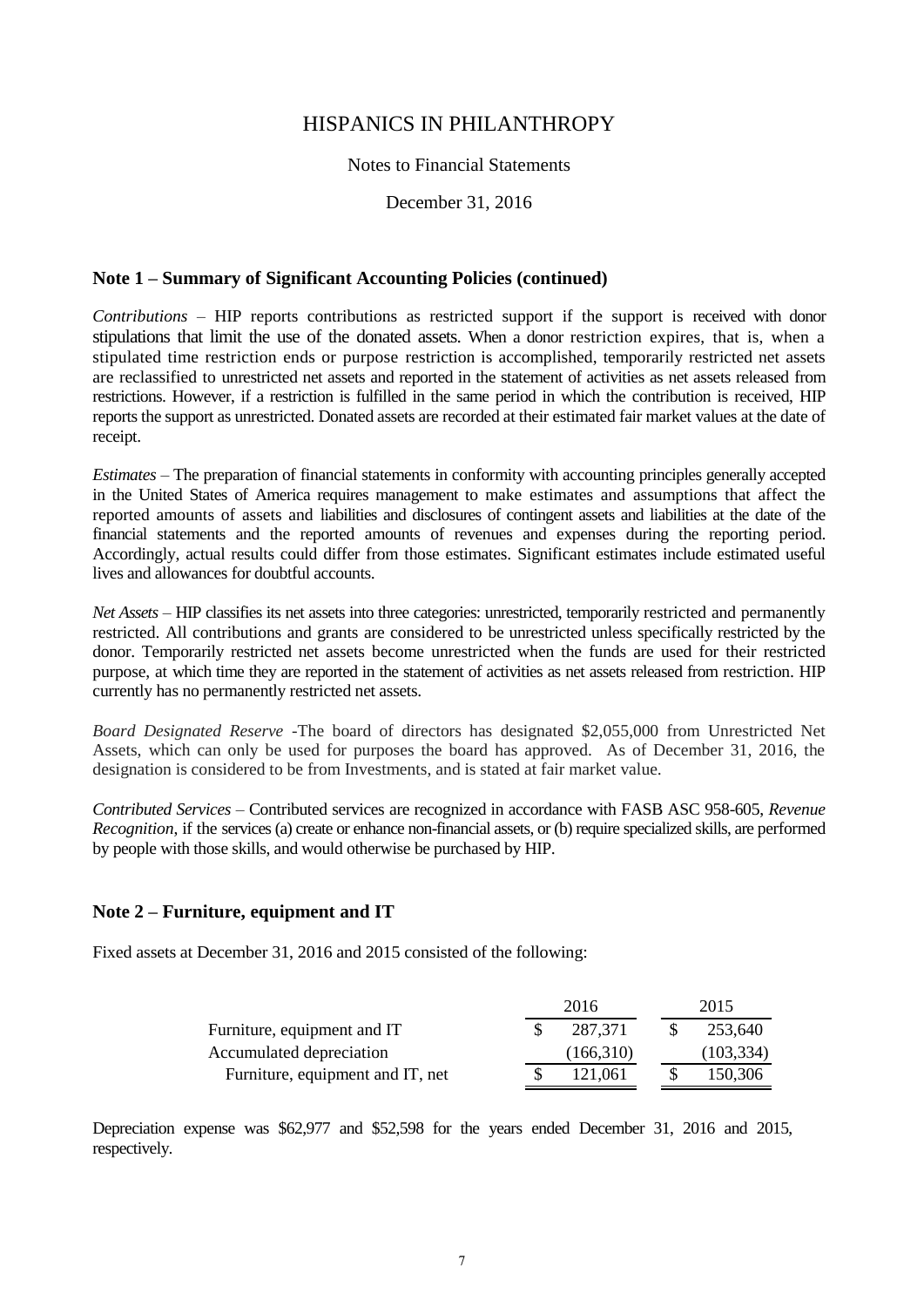#### Notes to Financial Statements

December 31, 2016

#### **Note 1 – Summary of Significant Accounting Policies (continued)**

*Contributions* – HIP reports contributions as restricted support if the support is received with donor stipulations that limit the use of the donated assets. When a donor restriction expires, that is, when a stipulated time restriction ends or purpose restriction is accomplished, temporarily restricted net assets are reclassified to unrestricted net assets and reported in the statement of activities as net assets released from restrictions. However, if a restriction is fulfilled in the same period in which the contribution is received, HIP reports the support as unrestricted. Donated assets are recorded at their estimated fair market values at the date of receipt.

*Estimates* – The preparation of financial statements in conformity with accounting principles generally accepted in the United States of America requires management to make estimates and assumptions that affect the reported amounts of assets and liabilities and disclosures of contingent assets and liabilities at the date of the financial statements and the reported amounts of revenues and expenses during the reporting period. Accordingly, actual results could differ from those estimates. Significant estimates include estimated useful lives and allowances for doubtful accounts.

*Net Assets* – HIP classifies its net assets into three categories: unrestricted, temporarily restricted and permanently restricted. All contributions and grants are considered to be unrestricted unless specifically restricted by the donor. Temporarily restricted net assets become unrestricted when the funds are used for their restricted purpose, at which time they are reported in the statement of activities as net assets released from restriction. HIP currently has no permanently restricted net assets.

*Board Designated Reserve -*The board of directors has designated \$2,055,000 from Unrestricted Net Assets, which can only be used for purposes the board has approved. As of December 31, 2016, the designation is considered to be from Investments, and is stated at fair market value.

*Contributed Services –* Contributed services are recognized in accordance with FASB ASC 958-605, *Revenue Recognition*, if the services (a) create or enhance non-financial assets, or (b) require specialized skills, are performed by people with those skills, and would otherwise be purchased by HIP.

#### **Note 2 – Furniture, equipment and IT**

Fixed assets at December 31, 2016 and 2015 consisted of the following:

|                                  | 2016      |  | 2015       |
|----------------------------------|-----------|--|------------|
| Furniture, equipment and IT      | 287.371   |  | 253.640    |
| Accumulated depreciation         | (166,310) |  | (103, 334) |
| Furniture, equipment and IT, net | 121.061   |  | 150,306    |

Depreciation expense was \$62,977 and \$52,598 for the years ended December 31, 2016 and 2015, respectively.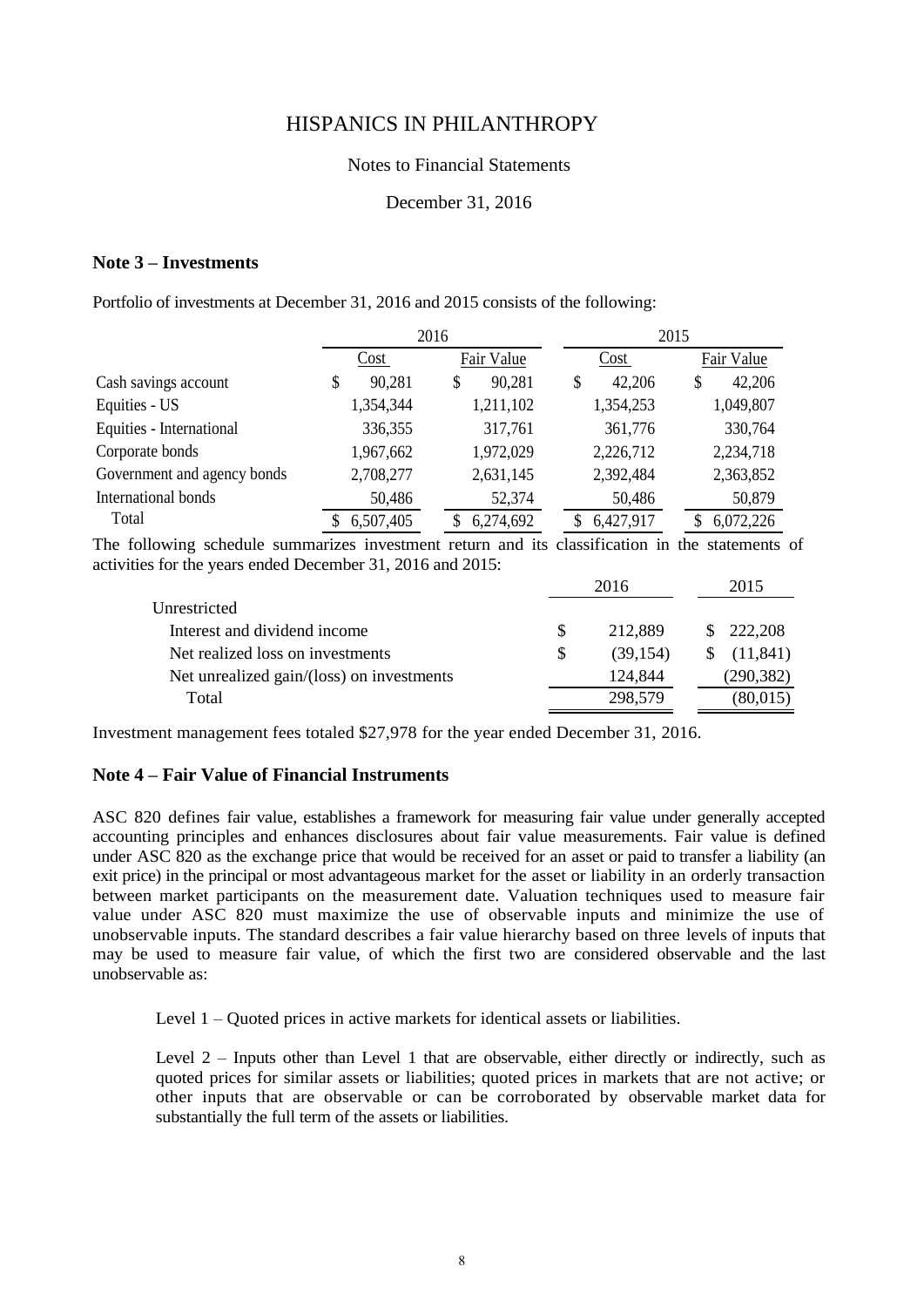#### Notes to Financial Statements

#### December 31, 2016

#### **Note 3 – Investments**

Portfolio of investments at December 31, 2016 and 2015 consists of the following:

|                             |              | 2016         | 2015         |              |
|-----------------------------|--------------|--------------|--------------|--------------|
|                             | Cost         | Fair Value   | Cost         | Fair Value   |
| Cash savings account        | 90,281<br>\$ | 90,281<br>\$ | 42,206<br>\$ | 42,206<br>\$ |
| Equities - US               | 1,354,344    | 1,211,102    | 1,354,253    | 1,049,807    |
| Equities - International    | 336,355      | 317,761      | 361,776      | 330,764      |
| Corporate bonds             | 1,967,662    | 1,972,029    | 2,226,712    | 2,234,718    |
| Government and agency bonds | 2,708,277    | 2,631,145    | 2,392,484    | 2,363,852    |
| International bonds         | 50,486       | 52,374       | 50,486       | 50,879       |
| Total                       | 6,507,405    | 6,274,692    | 6,427,917    | 6,072,226    |

The following schedule summarizes investment return and its classification in the statements of activities for the years ended December 31, 2016 and 2015:

|                                           |     | 2016     | 2015      |
|-------------------------------------------|-----|----------|-----------|
| Unrestricted                              |     |          |           |
| Interest and dividend income              |     | 212.889  | \$222,208 |
| Net realized loss on investments          | \$. | (39.154) | (11.841)  |
| Net unrealized gain/(loss) on investments |     | 124,844  | (290,382) |
| Total                                     |     | 298,579  | (80,015)  |

Investment management fees totaled \$27,978 for the year ended December 31, 2016.

#### **Note 4 – Fair Value of Financial Instruments**

ASC 820 defines fair value, establishes a framework for measuring fair value under generally accepted accounting principles and enhances disclosures about fair value measurements. Fair value is defined under ASC 820 as the exchange price that would be received for an asset or paid to transfer a liability (an exit price) in the principal or most advantageous market for the asset or liability in an orderly transaction between market participants on the measurement date. Valuation techniques used to measure fair value under ASC 820 must maximize the use of observable inputs and minimize the use of unobservable inputs. The standard describes a fair value hierarchy based on three levels of inputs that may be used to measure fair value, of which the first two are considered observable and the last unobservable as:

Level 1 – Quoted prices in active markets for identical assets or liabilities.

Level 2 – Inputs other than Level 1 that are observable, either directly or indirectly, such as quoted prices for similar assets or liabilities; quoted prices in markets that are not active; or other inputs that are observable or can be corroborated by observable market data for substantially the full term of the assets or liabilities.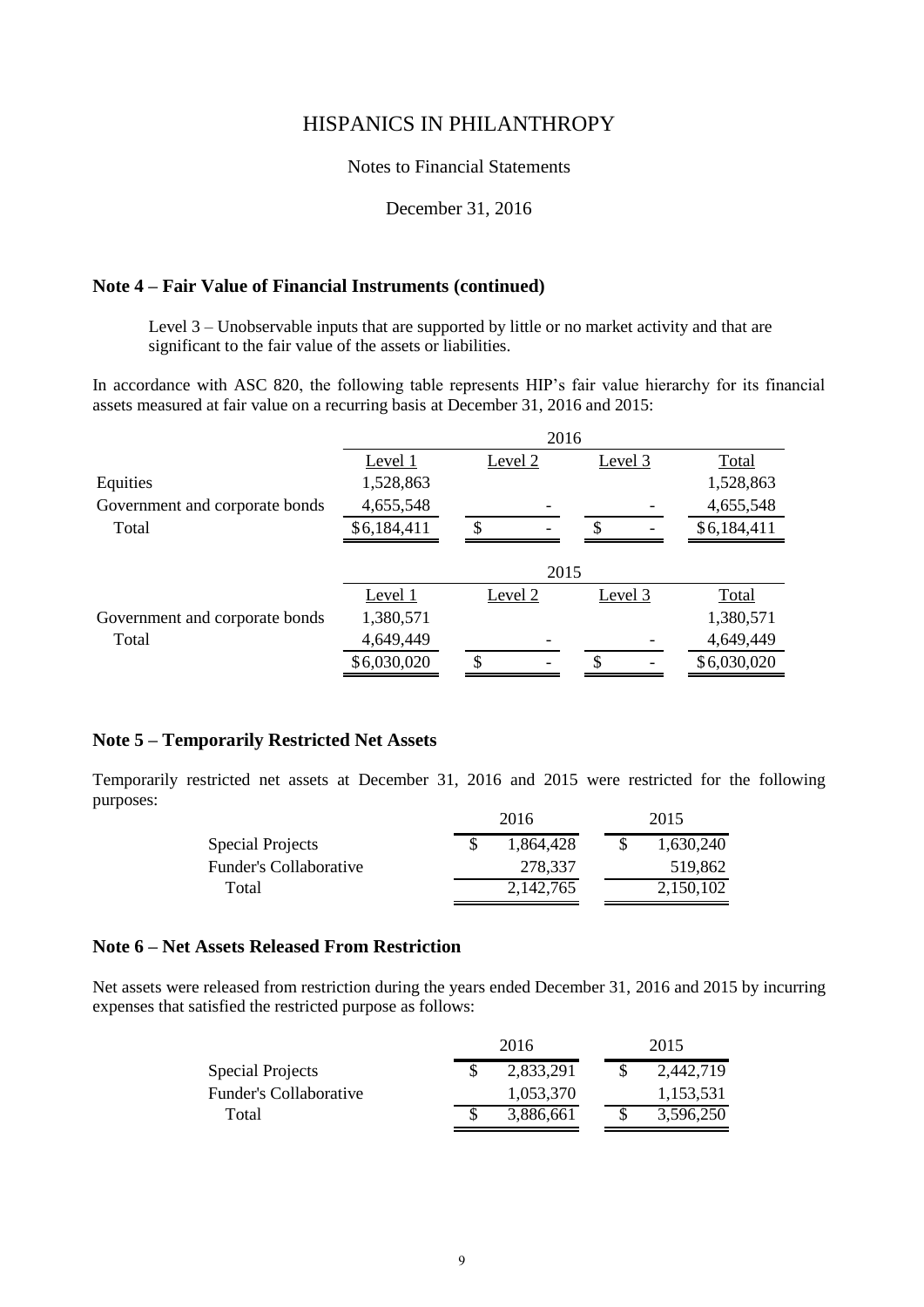#### Notes to Financial Statements

#### December 31, 2016

#### **Note 4 – Fair Value of Financial Instruments (continued)**

Level 3 – Unobservable inputs that are supported by little or no market activity and that are significant to the fair value of the assets or liabilities.

In accordance with ASC 820, the following table represents HIP's fair value hierarchy for its financial assets measured at fair value on a recurring basis at December 31, 2016 and 2015:

|                                |             | 2016    |         |             |
|--------------------------------|-------------|---------|---------|-------------|
|                                | Level 1     | Level 2 | Level 3 | Total       |
| Equities                       | 1,528,863   |         |         | 1,528,863   |
| Government and corporate bonds | 4,655,548   |         |         | 4,655,548   |
| Total                          | \$6,184,411 | \$      | S       | \$6,184,411 |
|                                |             | 2015    |         |             |
|                                | Level 1     | Level 2 | Level 3 | Total       |
| Government and corporate bonds | 1,380,571   |         |         | 1,380,571   |
| Total                          | 4,649,449   |         |         | 4,649,449   |
|                                | \$6,030,020 | \$      | \$      | \$6,030,020 |

#### **Note 5 – Temporarily Restricted Net Assets**

Temporarily restricted net assets at December 31, 2016 and 2015 were restricted for the following purposes:

|                        | 2016      | 2015      |
|------------------------|-----------|-----------|
| Special Projects       | 1.864.428 | 1.630.240 |
| Funder's Collaborative | 278.337   | 519.862   |
| Total                  | 2,142,765 | 2,150,102 |

#### **Note 6 – Net Assets Released From Restriction**

Net assets were released from restriction during the years ended December 31, 2016 and 2015 by incurring expenses that satisfied the restricted purpose as follows:

|                        | 2016      | 2015      |
|------------------------|-----------|-----------|
| Special Projects       | 2,833,291 | 2,442,719 |
| Funder's Collaborative | 1.053.370 | 1,153,531 |
| Total                  | 3.886.661 | 3.596.250 |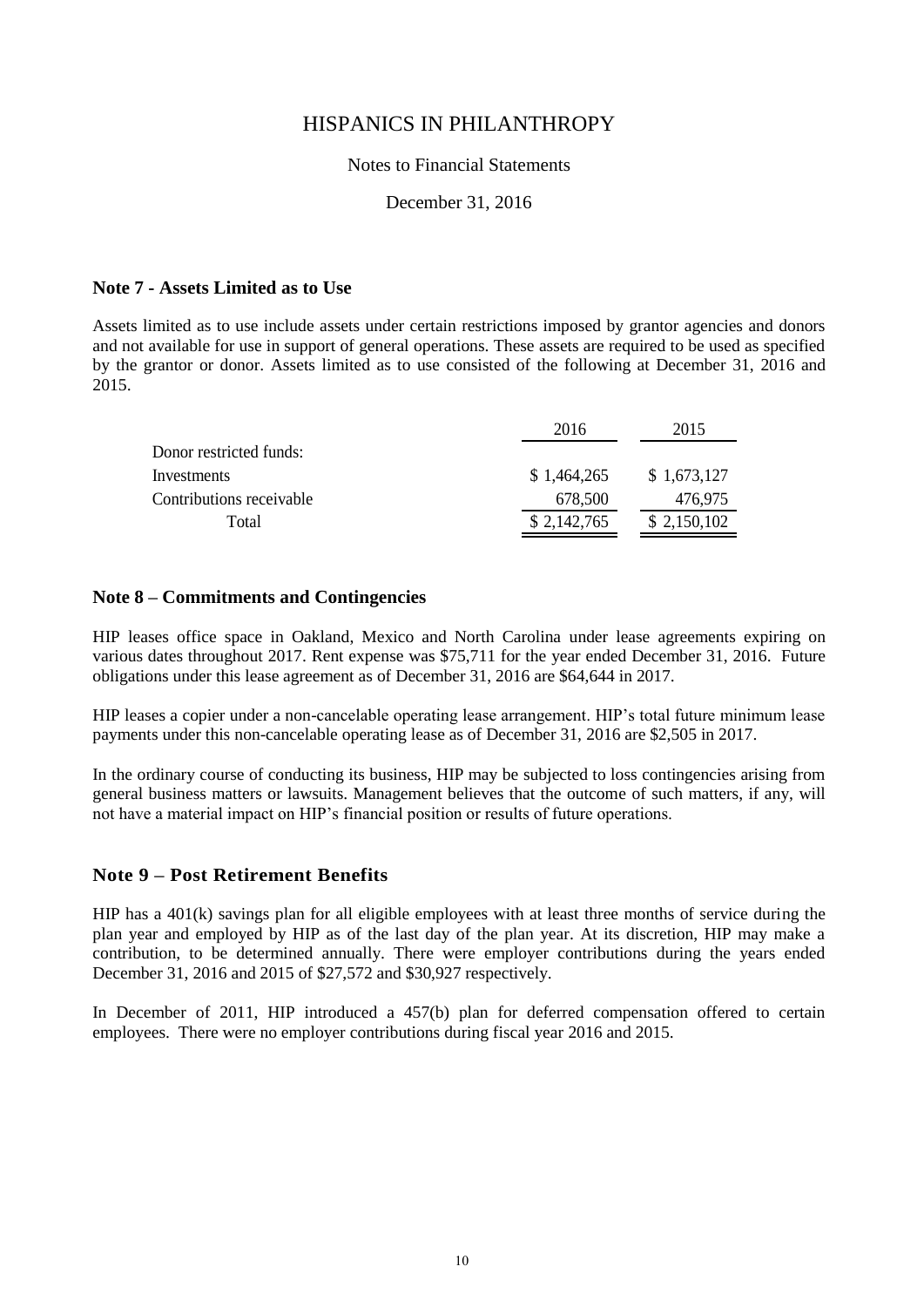#### Notes to Financial Statements

#### December 31, 2016

#### **Note 7 - Assets Limited as to Use**

Assets limited as to use include assets under certain restrictions imposed by grantor agencies and donors and not available for use in support of general operations. These assets are required to be used as specified by the grantor or donor. Assets limited as to use consisted of the following at December 31, 2016 and 2015.

|                          | 2016        | 2015        |
|--------------------------|-------------|-------------|
| Donor restricted funds:  |             |             |
| Investments              | \$1,464,265 | \$1,673,127 |
| Contributions receivable | 678,500     | 476.975     |
| Total                    | \$2,142,765 | \$2,150,102 |

#### **Note 8 – Commitments and Contingencies**

HIP leases office space in Oakland, Mexico and North Carolina under lease agreements expiring on various dates throughout 2017. Rent expense was \$75,711 for the year ended December 31, 2016. Future obligations under this lease agreement as of December 31, 2016 are \$64,644 in 2017.

HIP leases a copier under a non-cancelable operating lease arrangement. HIP's total future minimum lease payments under this non-cancelable operating lease as of December 31, 2016 are \$2,505 in 2017.

In the ordinary course of conducting its business, HIP may be subjected to loss contingencies arising from general business matters or lawsuits. Management believes that the outcome of such matters, if any, will not have a material impact on HIP's financial position or results of future operations.

#### **Note 9 – Post Retirement Benefits**

HIP has a 401(k) savings plan for all eligible employees with at least three months of service during the plan year and employed by HIP as of the last day of the plan year. At its discretion, HIP may make a contribution, to be determined annually. There were employer contributions during the years ended December 31, 2016 and 2015 of \$27,572 and \$30,927 respectively.

In December of 2011, HIP introduced a 457(b) plan for deferred compensation offered to certain employees. There were no employer contributions during fiscal year 2016 and 2015.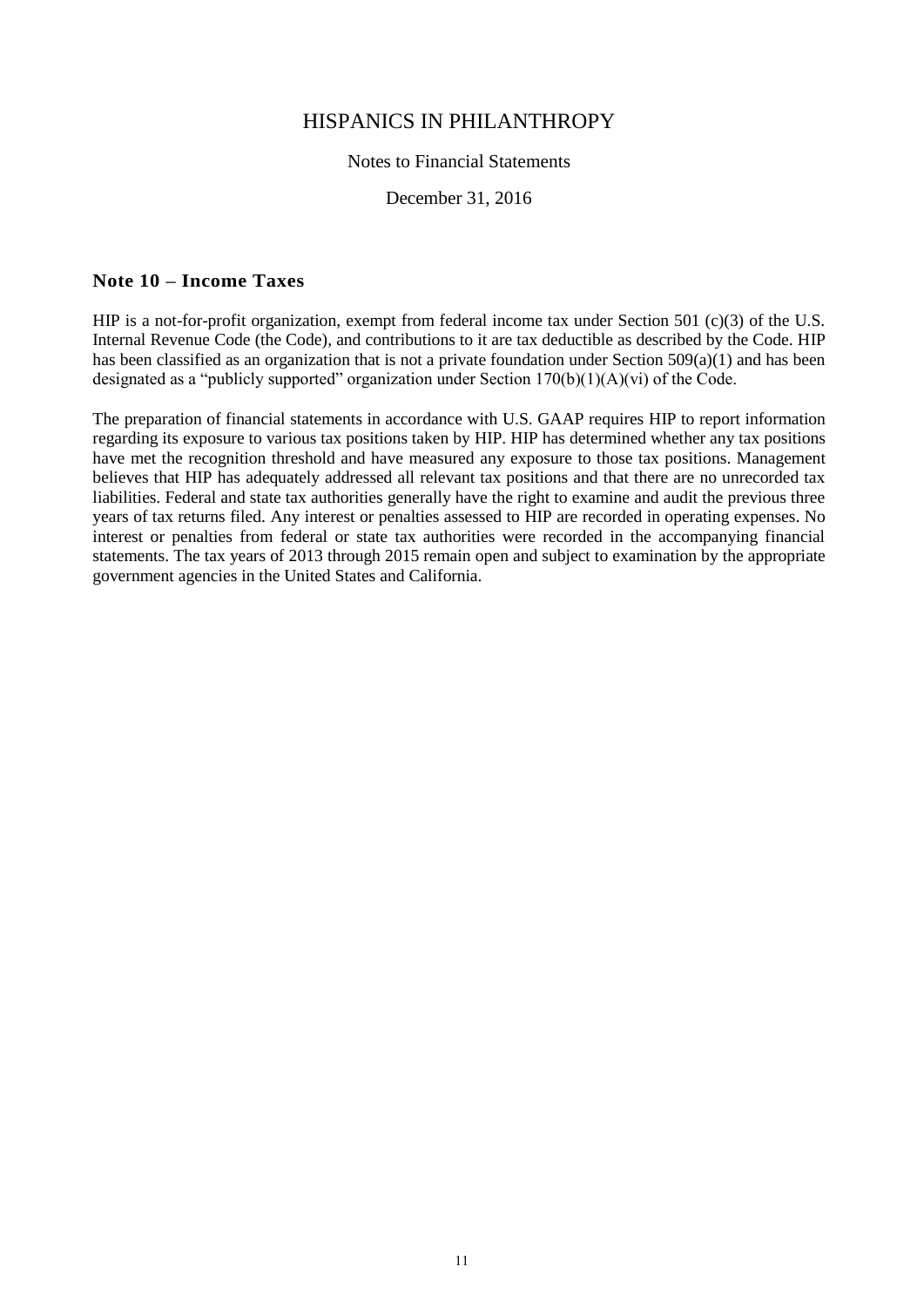#### Notes to Financial Statements

#### December 31, 2016

#### **Note 10 – Income Taxes**

HIP is a not-for-profit organization, exempt from federal income tax under Section 501 (c)(3) of the U.S. Internal Revenue Code (the Code), and contributions to it are tax deductible as described by the Code. HIP has been classified as an organization that is not a private foundation under Section 509(a)(1) and has been designated as a "publicly supported" organization under Section  $170(b)(1)(A)(vi)$  of the Code.

The preparation of financial statements in accordance with U.S. GAAP requires HIP to report information regarding its exposure to various tax positions taken by HIP. HIP has determined whether any tax positions have met the recognition threshold and have measured any exposure to those tax positions. Management believes that HIP has adequately addressed all relevant tax positions and that there are no unrecorded tax liabilities. Federal and state tax authorities generally have the right to examine and audit the previous three years of tax returns filed. Any interest or penalties assessed to HIP are recorded in operating expenses. No interest or penalties from federal or state tax authorities were recorded in the accompanying financial statements. The tax years of 2013 through 2015 remain open and subject to examination by the appropriate government agencies in the United States and California.